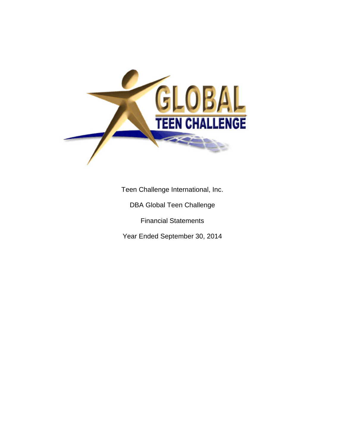

Teen Challenge International, Inc.

DBA Global Teen Challenge

Financial Statements

Year Ended September 30, 2014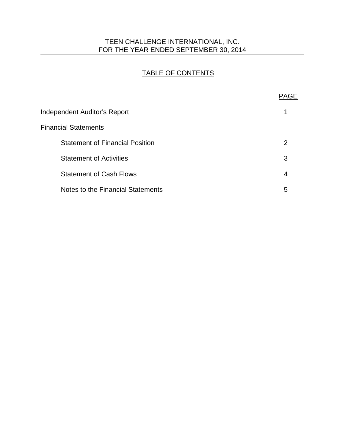## TEEN CHALLENGE INTERNATIONAL, INC. FOR THE YEAR ENDED SEPTEMBER 30, 2014

# TABLE OF CONTENTS

|                                        | <b>PAGE</b> |
|----------------------------------------|-------------|
| <b>Independent Auditor's Report</b>    |             |
| <b>Financial Statements</b>            |             |
| <b>Statement of Financial Position</b> | 2           |
| <b>Statement of Activities</b>         | 3           |
| <b>Statement of Cash Flows</b>         | 4           |
| Notes to the Financial Statements      | 5           |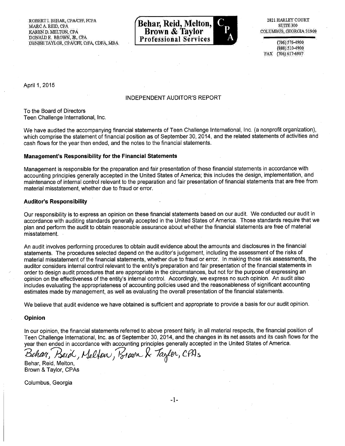ROBERT I. BEHAR, CPA/CFF, FCPA MARC A. REID, CPA KAREN D. MELTON, CPA DONALD E. BROWN, JR, CPA DENISE TAYLOR, CPA/CFF, CrFA, CDFA, MBA



2821 HARLEY COURT surrE 300 COLUMBUS, GEORGIA 31909

(706)576-4900 (888) 510-4900 FAX (706) 617-6907

April 1, 2015

#### INDEPENDENT AUDITOR'S REPORT

To the Board of Directors Teen Challenge International, Inc.

We have audited the accompanying financial statements of Teen Challenge International, Inc. (a nonprofit organization), which comprise the statement of financial position as of September 30, 2014, and the related statements of activities and cash flows for the year then ended, and the notes to the financial statements.

#### **Management's Responsibility for the Financial Statements**

Management is responsible for the preparation and fair presentation of these financial statements in accordance with accounting principles generally accepted in the United States of America; this includes the design, implementation, and maintenance of internal control relevant to the preparation and fair presentation of financial statements that are free from material misstatement, whether due to fraud or error.

#### **Auditor's Responsibility**

Our responsibility is to express an opinion on these financial statements based on our audit. We conducted our audit in accordance with auditing standards generally accepted in the United States of America. Those standards require that we plan and perform the audit to obtain reasonable assurance about whether the financial statements are free of material misstatement.

An audit involves performing procedures to obtain audit evidence about the amounts and disclosures in the financial statements. The procedures selected depend on the auditor's judgement, including the assessment of the risks of material misstatement of the financial statements, whether due to fraud or error. In making those risk assessments, the auditor considers internal control relevant to the entity's preparation and fair presentation of the financial statements in order to design audit procedures that are appropriate in the circumstances, but not for the purpose of expressing an opinion on the effectiveness of the entity's internal control. Accordingly, we express no such opinion. An audit also includes evaluating the appropriateness of accounting policies used and the reasonableness of significant accounting estimates made by management, as well as evaluating the overall presentation of the financial statements.

We believe that audit evidence we have obtained is sufficient and appropriate to provide a basis for our audit opinion.

#### **Opinion**

In our opinion, the financial statements referred to above present fairly, in all material respects, the financial position of Teen Challenge International, Inc. as of September 30, 2014, and the changes in its net assets and its cash flows for the year then ended in accordance with accounting principles generally accepted in the United States of America.

Behar, Beiol, Melfon, Brown & Taylor, CPAs

Behar, Reid, Melton, Brown & Taylor, CPAs

Columbus, Georgia

-1-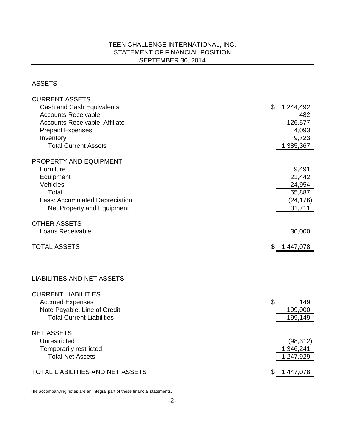## TEEN CHALLENGE INTERNATIONAL, INC. STATEMENT OF FINANCIAL POSITION SEPTEMBER 30, 2014

#### ASSETS

| <b>CURRENT ASSETS</b>                                            |    |           |
|------------------------------------------------------------------|----|-----------|
| Cash and Cash Equivalents                                        | \$ | 1,244,492 |
| <b>Accounts Receivable</b>                                       |    | 482       |
| Accounts Receivable, Affiliate                                   |    | 126,577   |
| <b>Prepaid Expenses</b>                                          |    | 4,093     |
| Inventory                                                        |    | 9,723     |
| <b>Total Current Assets</b>                                      |    | 1,385,367 |
| PROPERTY AND EQUIPMENT                                           |    |           |
| <b>Furniture</b>                                                 |    | 9,491     |
| Equipment                                                        |    | 21,442    |
| Vehicles                                                         |    | 24,954    |
| Total                                                            |    | 55,887    |
| Less: Accumulated Depreciation                                   |    | (24, 176) |
| Net Property and Equipment                                       |    | 31,711    |
|                                                                  |    |           |
| <b>OTHER ASSETS</b>                                              |    |           |
| Loans Receivable                                                 |    | 30,000    |
|                                                                  |    |           |
|                                                                  |    |           |
| <b>TOTAL ASSETS</b>                                              | \$ | 1,447,078 |
|                                                                  |    |           |
| <b>LIABILITIES AND NET ASSETS</b>                                |    |           |
|                                                                  |    |           |
| <b>CURRENT LIABILITIES</b>                                       |    |           |
| <b>Accrued Expenses</b>                                          | \$ | 149       |
| Note Payable, Line of Credit<br><b>Total Current Liabilities</b> |    | 199,000   |
|                                                                  |    | 199,149   |
| <b>NET ASSETS</b>                                                |    |           |
| Unrestricted                                                     |    | (98, 312) |
| <b>Temporarily restricted</b>                                    |    | 1,346,241 |
| <b>Total Net Assets</b>                                          |    | 1,247,929 |
| TOTAL LIABILITIES AND NET ASSETS                                 | S  | 1,447,078 |

The accompanying notes are an integral part of these financial statements.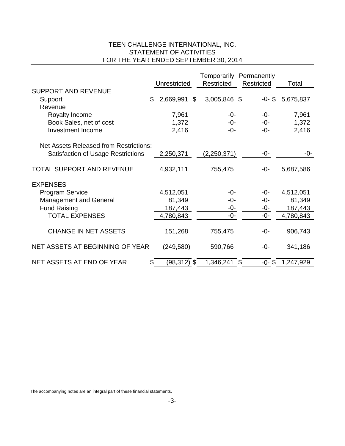## TEEN CHALLENGE INTERNATIONAL, INC. STATEMENT OF ACTIVITIES FOR THE YEAR ENDED SEPTEMBER 30, 2014

|                                           | Unrestricted    | Temporarily Permanently<br>Restricted | Restricted | Total     |
|-------------------------------------------|-----------------|---------------------------------------|------------|-----------|
| <b>SUPPORT AND REVENUE</b>                |                 |                                       |            |           |
|                                           | \$<br>2,669,991 | \$<br>3,005,846 \$                    | $-0 - $$   | 5,675,837 |
| Support                                   |                 |                                       |            |           |
| Revenue                                   |                 |                                       |            |           |
| Royalty Income                            | 7,961           | -0-                                   | $-0-$      | 7,961     |
| Book Sales, net of cost                   | 1,372           | -0-                                   | -0-        | 1,372     |
| <b>Investment Income</b>                  | 2,416           | -0-                                   | -0-        | 2,416     |
|                                           |                 |                                       |            |           |
| Net Assets Released from Restrictions:    |                 |                                       |            |           |
| <b>Satisfaction of Usage Restrictions</b> | 2,250,371       | (2,250,371)                           | -0-        | -0-       |
|                                           |                 |                                       |            |           |
| <b>TOTAL SUPPORT AND REVENUE</b>          | 4,932,111       | 755,475                               | -0-        | 5,687,586 |
|                                           |                 |                                       |            |           |
| <b>EXPENSES</b>                           |                 |                                       |            |           |
| <b>Program Service</b>                    | 4,512,051       | -0-                                   | -0-        | 4,512,051 |
| <b>Management and General</b>             | 81,349          | -0-                                   | -0-        | 81,349    |
| <b>Fund Raising</b>                       | 187,443         | -0-                                   | -0-        | 187,443   |
| <b>TOTAL EXPENSES</b>                     | 4,780,843       | -0-                                   | -0-        | 4,780,843 |
|                                           |                 |                                       |            |           |
| <b>CHANGE IN NET ASSETS</b>               | 151,268         | 755,475                               | -0-        | 906,743   |
|                                           |                 |                                       |            |           |
| NET ASSETS AT BEGINNING OF YEAR           | (249, 580)      | 590,766                               | -0-        | 341,186   |
| NET ASSETS AT END OF YEAR                 | (98,312) \$     | 1,346,241                             | \$         |           |
|                                           |                 |                                       | $-0 - $$   | 1,247,929 |

The accompanying notes are an integral part of these financial statements.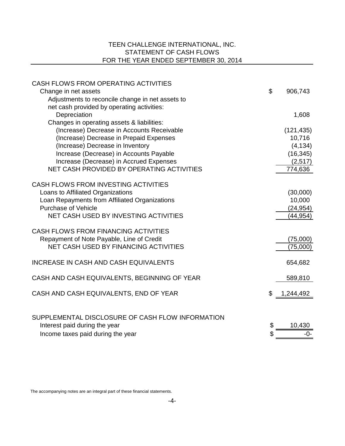## TEEN CHALLENGE INTERNATIONAL, INC. STATEMENT OF CASH FLOWS FOR THE YEAR ENDED SEPTEMBER 30, 2014

| CASH FLOWS FROM OPERATING ACTIVITIES                                               |                       |
|------------------------------------------------------------------------------------|-----------------------|
| Change in net assets                                                               | \$<br>906,743         |
| Adjustments to reconcile change in net assets to                                   |                       |
| net cash provided by operating activities:                                         |                       |
| Depreciation                                                                       | 1,608                 |
| Changes in operating assets & liabilities:                                         |                       |
| (Increase) Decrease in Accounts Receivable                                         | (121, 435)            |
| (Increase) Decrease in Prepaid Expenses                                            | 10,716                |
| (Increase) Decrease in Inventory                                                   | (4, 134)              |
| Increase (Decrease) in Accounts Payable                                            | (16, 345)             |
| Increase (Decrease) in Accrued Expenses                                            | (2,517)               |
| NET CASH PROVIDED BY OPERATING ACTIVITIES                                          | 774,636               |
| <b>CASH FLOWS FROM INVESTING ACTIVITIES</b>                                        |                       |
|                                                                                    |                       |
| Loans to Affiliated Organizations<br>Loan Repayments from Affiliated Organizations | (30,000)<br>10,000    |
| <b>Purchase of Vehicle</b>                                                         |                       |
| NET CASH USED BY INVESTING ACTIVITIES                                              | (24, 954)<br>(44,954) |
|                                                                                    |                       |
| <b>CASH FLOWS FROM FINANCING ACTIVITIES</b>                                        |                       |
| Repayment of Note Payable, Line of Credit                                          | (75,000)              |
| <b>NET CASH USED BY FINANCING ACTIVITIES</b>                                       | (75,000)              |
|                                                                                    |                       |
| INCREASE IN CASH AND CASH EQUIVALENTS                                              | 654,682               |
| CASH AND CASH EQUIVALENTS, BEGINNING OF YEAR                                       | 589,810               |
|                                                                                    |                       |
| CASH AND CASH EQUIVALENTS, END OF YEAR                                             | 1,244,492             |
|                                                                                    |                       |
| SUPPLEMENTAL DISCLOSURE OF CASH FLOW INFORMATION                                   |                       |
| Interest paid during the year                                                      | \$<br>10,430          |
| Income taxes paid during the year                                                  | \$<br>-ი-             |
|                                                                                    |                       |

The accompanying notes are an integral part of these financial statements.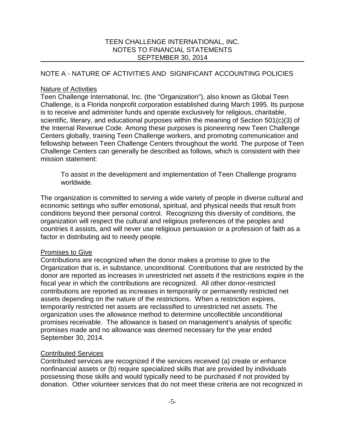## NOTE A - NATURE OF ACTIVITIES AND SIGNIFICANT ACCOUNTING POLICIES

### Nature of Activities

Teen Challenge International, Inc. (the "Organization"), also known as Global Teen Challenge, is a Florida nonprofit corporation established during March 1995. Its purpose is to receive and administer funds and operate exclusively for religious, charitable, scientific, literary, and educational purposes within the meaning of Section 501(c)(3) of the Internal Revenue Code. Among these purposes is pioneering new Teen Challenge Centers globally, training Teen Challenge workers, and promoting communication and fellowship between Teen Challenge Centers throughout the world. The purpose of Teen Challenge Centers can generally be described as follows, which is consistent with their mission statement:

To assist in the development and implementation of Teen Challenge programs worldwide.

The organization is committed to serving a wide variety of people in diverse cultural and economic settings who suffer emotional, spiritual, and physical needs that result from conditions beyond their personal control. Recognizing this diversity of conditions, the organization will respect the cultural and religious preferences of the peoples and countries it assists, and will never use religious persuasion or a profession of faith as a factor in distributing aid to needy people.

## Promises to Give

Contributions are recognized when the donor makes a promise to give to the Organization that is, in substance, unconditional. Contributions that are restricted by the donor are reported as increases in unrestricted net assets if the restrictions expire in the fiscal year in which the contributions are recognized. All other donor-restricted contributions are reported as increases in temporarily or permanently restricted net assets depending on the nature of the restrictions. When a restriction expires, temporarily restricted net assets are reclassified to unrestricted net assets. The organization uses the allowance method to determine uncollectible unconditional promises receivable. The allowance is based on management's analysis of specific promises made and no allowance was deemed necessary for the year ended September 30, 2014.

## Contributed Services

Contributed services are recognized if the services received (a) create or enhance nonfinancial assets or (b) require specialized skills that are provided by individuals possessing those skills and would typically need to be purchased if not provided by donation. Other volunteer services that do not meet these criteria are not recognized in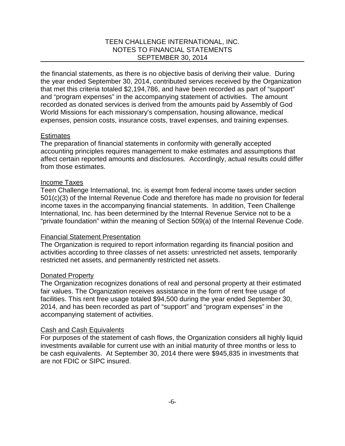the financial statements, as there is no objective basis of deriving their value. During the year ended September 30, 2014, contributed services received by the Organization that met this criteria totaled \$2,194,786, and have been recorded as part of "support" and "program expenses" in the accompanying statement of activities. The amount recorded as donated services is derived from the amounts paid by Assembly of God World Missions for each missionary's compensation, housing allowance, medical expenses, pension costs, insurance costs, travel expenses, and training expenses.

#### **Estimates**

The preparation of financial statements in conformity with generally accepted accounting principles requires management to make estimates and assumptions that affect certain reported amounts and disclosures. Accordingly, actual results could differ from those estimates.

### Income Taxes

Teen Challenge International, Inc. is exempt from federal income taxes under section 501(c)(3) of the Internal Revenue Code and therefore has made no provision for federal income taxes in the accompanying financial statements. In addition, Teen Challenge International, Inc. has been determined by the Internal Revenue Service not to be a "private foundation" within the meaning of Section 509(a) of the Internal Revenue Code.

#### Financial Statement Presentation

The Organization is required to report information regarding its financial position and activities according to three classes of net assets: unrestricted net assets, temporarily restricted net assets, and permanently restricted net assets.

#### Donated Property

The Organization recognizes donations of real and personal property at their estimated fair values. The Organization receives assistance in the form of rent free usage of facilities. This rent free usage totaled \$94,500 during the year ended September 30, 2014, and has been recorded as part of "support" and "program expenses" in the accompanying statement of activities.

#### Cash and Cash Equivalents

For purposes of the statement of cash flows, the Organization considers all highly liquid investments available for current use with an initial maturity of three months or less to be cash equivalents. At September 30, 2014 there were \$945,835 in investments that are not FDIC or SIPC insured.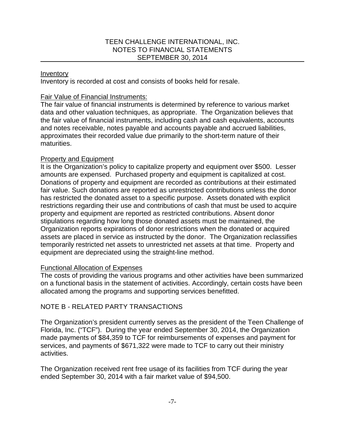### Inventory

Inventory is recorded at cost and consists of books held for resale.

### Fair Value of Financial Instruments:

The fair value of financial instruments is determined by reference to various market data and other valuation techniques, as appropriate. The Organization believes that the fair value of financial instruments, including cash and cash equivalents, accounts and notes receivable, notes payable and accounts payable and accrued liabilities, approximates their recorded value due primarily to the short-term nature of their maturities.

### Property and Equipment

It is the Organization's policy to capitalize property and equipment over \$500. Lesser amounts are expensed. Purchased property and equipment is capitalized at cost. Donations of property and equipment are recorded as contributions at their estimated fair value. Such donations are reported as unrestricted contributions unless the donor has restricted the donated asset to a specific purpose. Assets donated with explicit restrictions regarding their use and contributions of cash that must be used to acquire property and equipment are reported as restricted contributions. Absent donor stipulations regarding how long those donated assets must be maintained, the Organization reports expirations of donor restrictions when the donated or acquired assets are placed in service as instructed by the donor. The Organization reclassifies temporarily restricted net assets to unrestricted net assets at that time. Property and equipment are depreciated using the straight-line method.

#### Functional Allocation of Expenses

The costs of providing the various programs and other activities have been summarized on a functional basis in the statement of activities. Accordingly, certain costs have been allocated among the programs and supporting services benefitted.

## NOTE B - RELATED PARTY TRANSACTIONS

The Organization's president currently serves as the president of the Teen Challenge of Florida, Inc. ("TCF"). During the year ended September 30, 2014, the Organization made payments of \$84,359 to TCF for reimbursements of expenses and payment for services, and payments of \$671,322 were made to TCF to carry out their ministry activities.

The Organization received rent free usage of its facilities from TCF during the year ended September 30, 2014 with a fair market value of \$94,500.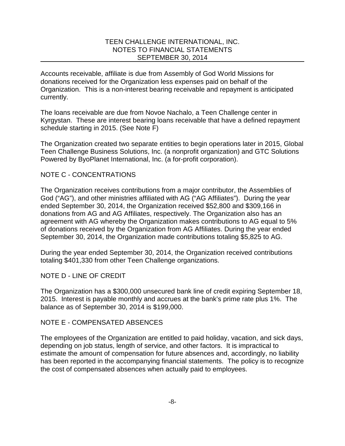Accounts receivable, affiliate is due from Assembly of God World Missions for donations received for the Organization less expenses paid on behalf of the Organization. This is a non-interest bearing receivable and repayment is anticipated currently.

The loans receivable are due from Novoe Nachalo, a Teen Challenge center in Kyrgystan. These are interest bearing loans receivable that have a defined repayment schedule starting in 2015. (See Note F)

The Organization created two separate entities to begin operations later in 2015, Global Teen Challenge Business Solutions, Inc. (a nonprofit organization) and GTC Solutions Powered by ByoPlanet International, Inc. (a for-profit corporation).

### NOTE C - CONCENTRATIONS

The Organization receives contributions from a major contributor, the Assemblies of God ("AG"), and other ministries affiliated with AG ("AG Affiliates"). During the year ended September 30, 2014, the Organization received \$52,800 and \$309,166 in donations from AG and AG Affiliates, respectively. The Organization also has an agreement with AG whereby the Organization makes contributions to AG equal to 5% of donations received by the Organization from AG Affiliates. During the year ended September 30, 2014, the Organization made contributions totaling \$5,825 to AG.

During the year ended September 30, 2014, the Organization received contributions totaling \$401,330 from other Teen Challenge organizations.

NOTE D - LINE OF CREDIT

The Organization has a \$300,000 unsecured bank line of credit expiring September 18, 2015. Interest is payable monthly and accrues at the bank's prime rate plus 1%. The balance as of September 30, 2014 is \$199,000.

#### NOTE E - COMPENSATED ABSENCES

The employees of the Organization are entitled to paid holiday, vacation, and sick days, depending on job status, length of service, and other factors. It is impractical to estimate the amount of compensation for future absences and, accordingly, no liability has been reported in the accompanying financial statements. The policy is to recognize the cost of compensated absences when actually paid to employees.